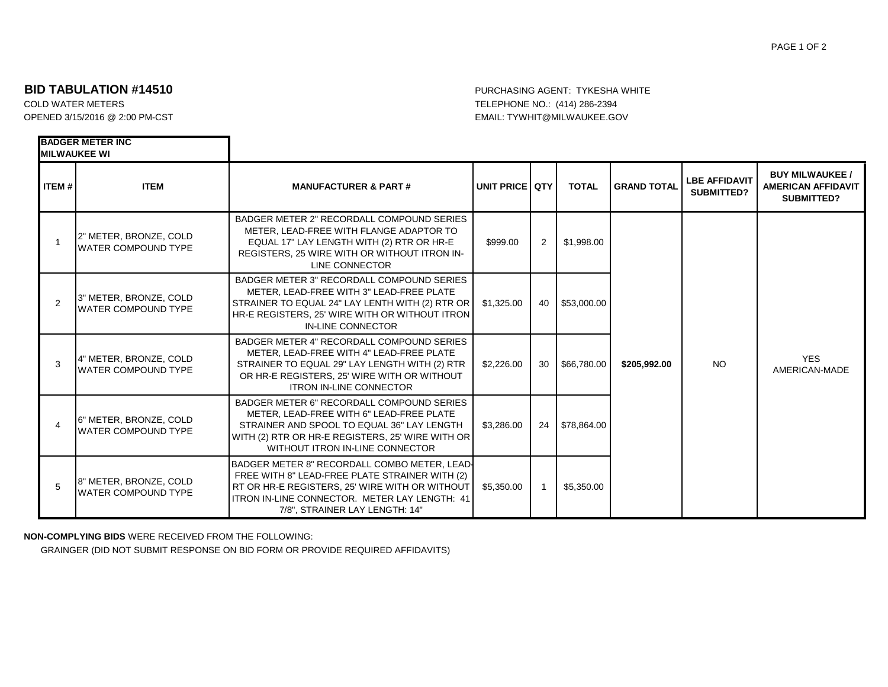## PAGE 1 OF 2

## **BID TABULATION #14510 BID TABULATION #14510**

**BADGER METER INC**

COLD WATER METERS TELEPHONE NO.: (414) 286-2394 OPENED 3/15/2016 @ 2:00 PM-CST EMAIL: TYWHIT@MILWAUKEE.GOV

| <b>IMILWAUKEE WI</b> |                                                       |                                                                                                                                                                                                                                     |                         |                      |              |                    |                                           |                                                                          |
|----------------------|-------------------------------------------------------|-------------------------------------------------------------------------------------------------------------------------------------------------------------------------------------------------------------------------------------|-------------------------|----------------------|--------------|--------------------|-------------------------------------------|--------------------------------------------------------------------------|
| <b>ITEM#</b>         | <b>ITEM</b>                                           | <b>MANUFACTURER &amp; PART#</b>                                                                                                                                                                                                     | <b>UNIT PRICE QTY I</b> |                      | <b>TOTAL</b> | <b>GRAND TOTAL</b> | <b>LBE AFFIDAVIT</b><br><b>SUBMITTED?</b> | <b>BUY MILWAUKEE /</b><br><b>AMERICAN AFFIDAVIT</b><br><b>SUBMITTED?</b> |
|                      | 2" METER, BRONZE, COLD<br><b>WATER COMPOUND TYPE</b>  | BADGER METER 2" RECORDALL COMPOUND SERIES<br>METER, LEAD-FREE WITH FLANGE ADAPTOR TO<br>EQUAL 17" LAY LENGTH WITH (2) RTR OR HR-E<br>REGISTERS, 25 WIRE WITH OR WITHOUT ITRON IN-<br>LINE CONNECTOR                                 | \$999.00                | $\mathbf{2}^{\circ}$ | \$1,998.00   | \$205,992.00       | NO.                                       | <b>YES</b><br>AMERICAN-MADE                                              |
| $\overline{2}$       | 13" METER, BRONZE, COLD<br><b>WATER COMPOUND TYPE</b> | BADGER METER 3" RECORDALL COMPOUND SERIES<br>METER. LEAD-FREE WITH 3" LEAD-FREE PLATE<br>STRAINER TO EQUAL 24" LAY LENTH WITH (2) RTR OR<br>HR-E REGISTERS, 25' WIRE WITH OR WITHOUT ITRON<br>IN-LINE CONNECTOR                     | \$1,325.00              | 40 I                 | \$53,000.00  |                    |                                           |                                                                          |
| 3                    | 4" METER, BRONZE, COLD<br><b>WATER COMPOUND TYPE</b>  | BADGER METER 4" RECORDALL COMPOUND SERIES<br>METER, LEAD-FREE WITH 4" LEAD-FREE PLATE<br>STRAINER TO EQUAL 29" LAY LENGTH WITH (2) RTR<br>OR HR-E REGISTERS, 25' WIRE WITH OR WITHOUT<br><b>ITRON IN-LINE CONNECTOR</b>             | \$2,226,00              | 30                   | \$66.780.00  |                    |                                           |                                                                          |
|                      | 6" METER, BRONZE, COLD<br><b>WATER COMPOUND TYPE</b>  | BADGER METER 6" RECORDALL COMPOUND SERIES<br>METER, LEAD-FREE WITH 6" LEAD-FREE PLATE<br>STRAINER AND SPOOL TO EQUAL 36" LAY LENGTH<br>WITH (2) RTR OR HR-E REGISTERS, 25' WIRE WITH OR<br>WITHOUT ITRON IN-LINE CONNECTOR          | \$3,286.00              | 24 <sub>1</sub>      | \$78,864.00  |                    |                                           |                                                                          |
| 5                    | 8" METER, BRONZE, COLD<br><b>WATER COMPOUND TYPE</b>  | BADGER METER 8" RECORDALL COMBO METER, LEAD-<br>FREE WITH 8" LEAD-FREE PLATE STRAINER WITH (2)<br>RT OR HR-E REGISTERS, 25' WIRE WITH OR WITHOUT<br>ITRON IN-LINE CONNECTOR. METER LAY LENGTH: 41<br>7/8", STRAINER LAY LENGTH: 14" | \$5,350.00              |                      | \$5,350.00   |                    |                                           |                                                                          |

**NON-COMPLYING BIDS** WERE RECEIVED FROM THE FOLLOWING:

GRAINGER (DID NOT SUBMIT RESPONSE ON BID FORM OR PROVIDE REQUIRED AFFIDAVITS)